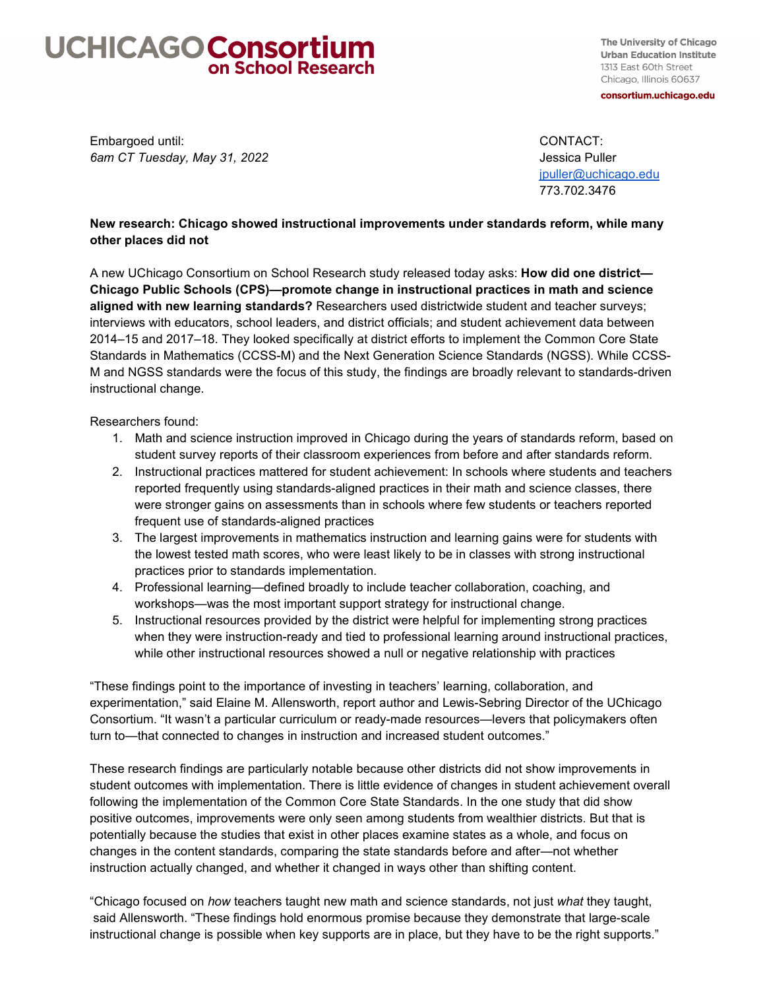## **UCHICAGO Consortium**

The University of Chicago **Urban Education Institute** 1313 East 60th Street Chicago, Illinois 60637 consortium.uchicago.edu

Embargoed until: CONTACT: *6am CT Tuesday, May 31, 2022* Jessica Puller and *Jessica Puller* and *Jessica Puller* 

[jpuller@uchicago.edu](mailto:jpuller@uchicago.edu)  773.702.3476

## **New research: Chicago showed instructional improvements under standards reform, while many other places did not**

A new UChicago Consortium on School Research study released today asks: **How did one district— Chicago Public Schools (CPS)—promote change in instructional practices in math and science aligned with new learning standards?** Researchers used districtwide student and teacher surveys; interviews with educators, school leaders, and district officials; and student achievement data between 2014–15 and 2017–18. They looked specifically at district efforts to implement the Common Core State Standards in Mathematics (CCSS-M) and the Next Generation Science Standards (NGSS). While CCSS-M and NGSS standards were the focus of this study, the findings are broadly relevant to standards-driven instructional change.

Researchers found:

- 1. Math and science instruction improved in Chicago during the years of standards reform, based on student survey reports of their classroom experiences from before and after standards reform.
- 2. Instructional practices mattered for student achievement: In schools where students and teachers reported frequently using standards-aligned practices in their math and science classes, there were stronger gains on assessments than in schools where few students or teachers reported frequent use of standards-aligned practices
- 3. The largest improvements in mathematics instruction and learning gains were for students with the lowest tested math scores, who were least likely to be in classes with strong instructional practices prior to standards implementation.
- 4. Professional learning—defined broadly to include teacher collaboration, coaching, and workshops—was the most important support strategy for instructional change.
- 5. Instructional resources provided by the district were helpful for implementing strong practices when they were instruction-ready and tied to professional learning around instructional practices, while other instructional resources showed a null or negative relationship with practices

"These findings point to the importance of investing in teachers' learning, collaboration, and experimentation," said Elaine M. Allensworth, report author and Lewis-Sebring Director of the UChicago Consortium. "It wasn't a particular curriculum or ready-made resources—levers that policymakers often turn to—that connected to changes in instruction and increased student outcomes."

These research findings are particularly notable because other districts did not show improvements in student outcomes with implementation. There is little evidence of changes in student achievement overall following the implementation of the Common Core State Standards. In the one study that did show positive outcomes, improvements were only seen among students from wealthier districts. But that is potentially because the studies that exist in other places examine states as a whole, and focus on changes in the content standards, comparing the state standards before and after—not whether instruction actually changed, and whether it changed in ways other than shifting content.

"Chicago focused on *how* teachers taught new math and science standards, not just *what* they taught, said Allensworth. "These findings hold enormous promise because they demonstrate that large-scale instructional change is possible when key supports are in place, but they have to be the right supports."